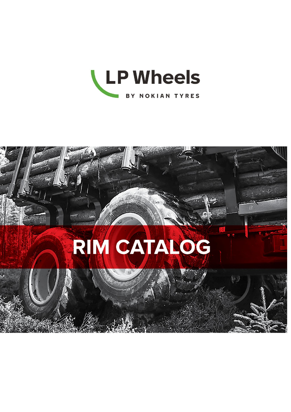

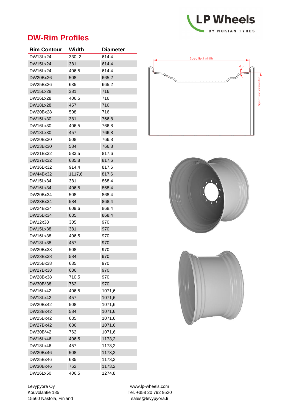

### **DW-Rim Profiles**

| <b>Rim Contour</b> | Width  | <b>Diameter</b> |
|--------------------|--------|-----------------|
| <b>DW13Lx24</b>    | 330, 2 | 614,4           |
| <b>DW15Lx24</b>    | 381    | 614,4           |
| DW16Lx24           | 406,5  | 614,4           |
| <b>DW20Bx26</b>    | 508    | 665,2           |
| DW25Bx26           | 635    | 665,2           |
| <b>DW15Lx28</b>    | 381    | 716             |
| DW16Lx28           | 406,5  | 716             |
| <b>DW18Lx28</b>    | 457    | 716             |
| DW20Bx28           | 508    | 716             |
| DW15Lx30           | 381    | 766,8           |
| DW16Lx30           | 406,5  | 766,8           |
| DW18Lx30           | 457    | 766,8           |
| DW20Bx30           | 508    | 766,8           |
| DW23Bx30           | 584    | 766,8           |
| DW21Bx32           | 533,5  | 817,6           |
| <b>DW27Bx32</b>    | 685,8  | 817,6           |
| DW36Bx32           | 914,4  | 817,6           |
| DW44Bx32           | 1117,6 | 817,6           |
| DW15Lx34           | 381    | 868,4           |
| <b>DW16Lx34</b>    | 406,5  | 868,4           |
| DW20Bx34           | 508    | 868,4           |
| DW23Bx34           | 584    | 868,4           |
| DW24Bx34           | 609,6  | 868,4           |
| DW25Bx34           | 635    | 868,4           |
| DW12x38            | 305    | 970             |
| <b>DW15Lx38</b>    | 381    | 970             |
| <b>DW16Lx38</b>    | 406,5  | 970             |
| <b>DW18Lx38</b>    | 457    | 970             |
| DW20Bx38           | 508    | 970             |
| DW23Bx38           | 584    | 970             |
| DW25Bx38           | 635    | 970             |
| <b>DW27Bx38</b>    | 686    | 970             |
| DW28Bx38           | 710,5  | 970             |
| DW30B*38           | 762    | 970             |
| DW16Lx42           | 406.5  | 1071,6          |
| <b>DW18Lx42</b>    | 457    | 1071,6          |
| DW20Bx42           | 508    | 1071,6          |
| DW23Bx42           | 584    | 1071,6          |
| DW25Bx42           | 635    | 1071,6          |
| DW27Bx42           | 686    | 1071,6          |
| DW30B*42           | 762    | 1071,6          |
| DW16Lx46           | 406,5  | 1173,2          |
| DW18Lx46           | 457    | 1173,2          |
| DW20Bx46           | 508    | 1173,2          |
| DW25Bx46           | 635    | 1173,2          |
| DW30Bx46           | 762    | 1173,2          |
| DW16Lx50           | 406,5  | 1274,8          |







Levypyörä Oy www.lp-wheels.com Kouvolantie 185 Tel. +358 20 792 9520 15560 Nastola, Finland sales@levypyora.fi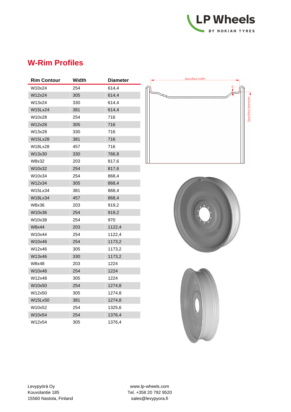

# **W-Rim Profiles**

| <b>Rim Contour</b> | Width | <b>Diameter</b> |
|--------------------|-------|-----------------|
| W10x24             | 254   | 614,4           |
| W12x24             | 305   | 614,4           |
| W13x24             | 330   | 614,4           |
| <b>W15Lx24</b>     | 381   | 614,4           |
| W10x28             | 254   | 716             |
| W12x28             | 305   | 716             |
| W13x28             | 330   | 716             |
| W15Lx28            | 381   | 716             |
| W18Lx28            | 457   | 716             |
| W13x30             | 330   | 766,8           |
| W8x32              | 203   | 817,6           |
| W10x32             | 254   | 817,6           |
| W10x34             | 254   | 868,4           |
| W12x34             | 305   | 868,4           |
| W15Lx34            | 381   | 868,4           |
| W18Lx34            | 457   | 868,4           |
| W8x36              | 203   | 919,2           |
| W10x36             | 254   | 919,2           |
| W10x38             | 254   | 970             |
| W8x44              | 203   | 1122,4          |
| W10x44             | 254   | 1122,4          |
| W10x46             | 254   | 1173,2          |
| W12x46             | 305   | 1173,2          |
| W13x46             | 330   | 1173,2          |
| W8x48              | 203   | 1224            |
| W10x48             | 254   | 1224            |
| W12x48             | 305   | 1224            |
| W10x50             | 254   | 1274,8          |
| W12x50             | 305   | 1274,8          |
| W15Lx50            | 381   | 1274,8          |
| W10x52             | 254   | 1325,6          |
| W10x54             | 254   | 1376,4          |
| W12x54             | 305   | 1376,4          |